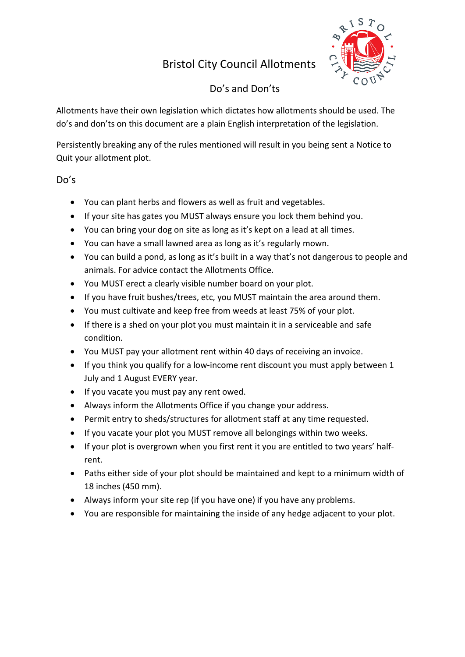# Bristol City Council Allotments



# Do's and Don'ts

Allotments have their own legislation which dictates how allotments should be used. The do's and don'ts on this document are a plain English interpretation of the legislation.

Persistently breaking any of the rules mentioned will result in you being sent a Notice to Quit your allotment plot.

## Do's

- You can plant herbs and flowers as well as fruit and vegetables.
- If your site has gates you MUST always ensure you lock them behind you.
- You can bring your dog on site as long as it's kept on a lead at all times.
- You can have a small lawned area as long as it's regularly mown.
- You can build a pond, as long as it's built in a way that's not dangerous to people and animals. For advice contact the Allotments Office.
- You MUST erect a clearly visible number board on your plot.
- If you have fruit bushes/trees, etc, you MUST maintain the area around them.
- You must cultivate and keep free from weeds at least 75% of your plot.
- If there is a shed on your plot you must maintain it in a serviceable and safe condition.
- You MUST pay your allotment rent within 40 days of receiving an invoice.
- If you think you qualify for a low-income rent discount you must apply between 1 July and 1 August EVERY year.
- If you vacate you must pay any rent owed.
- Always inform the Allotments Office if you change your address.
- Permit entry to sheds/structures for allotment staff at any time requested.
- If you vacate your plot you MUST remove all belongings within two weeks.
- If your plot is overgrown when you first rent it you are entitled to two years' halfrent.
- Paths either side of your plot should be maintained and kept to a minimum width of 18 inches (450 mm).
- Always inform your site rep (if you have one) if you have any problems.
- You are responsible for maintaining the inside of any hedge adjacent to your plot.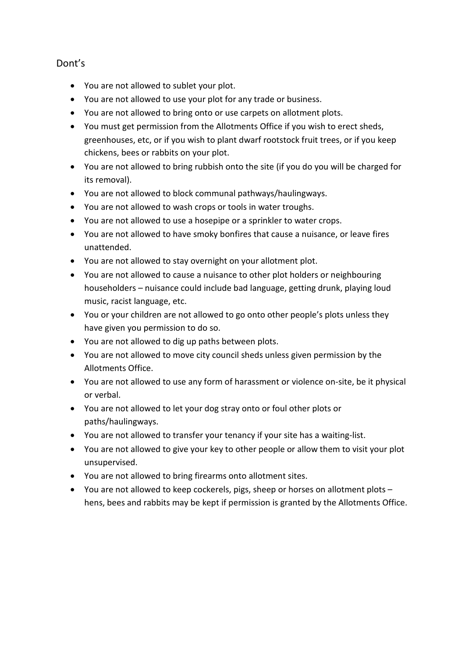### Dont's

- You are not allowed to sublet your plot.
- You are not allowed to use your plot for any trade or business.
- You are not allowed to bring onto or use carpets on allotment plots.
- You must get permission from the Allotments Office if you wish to erect sheds, greenhouses, etc, or if you wish to plant dwarf rootstock fruit trees, or if you keep chickens, bees or rabbits on your plot.
- You are not allowed to bring rubbish onto the site (if you do you will be charged for its removal).
- You are not allowed to block communal pathways/haulingways.
- You are not allowed to wash crops or tools in water troughs.
- You are not allowed to use a hosepipe or a sprinkler to water crops.
- You are not allowed to have smoky bonfires that cause a nuisance, or leave fires unattended.
- You are not allowed to stay overnight on your allotment plot.
- You are not allowed to cause a nuisance to other plot holders or neighbouring householders – nuisance could include bad language, getting drunk, playing loud music, racist language, etc.
- You or your children are not allowed to go onto other people's plots unless they have given you permission to do so.
- You are not allowed to dig up paths between plots.
- You are not allowed to move city council sheds unless given permission by the Allotments Office.
- You are not allowed to use any form of harassment or violence on-site, be it physical or verbal.
- You are not allowed to let your dog stray onto or foul other plots or paths/haulingways.
- You are not allowed to transfer your tenancy if your site has a waiting-list.
- You are not allowed to give your key to other people or allow them to visit your plot unsupervised.
- You are not allowed to bring firearms onto allotment sites.
- You are not allowed to keep cockerels, pigs, sheep or horses on allotment plots hens, bees and rabbits may be kept if permission is granted by the Allotments Office.